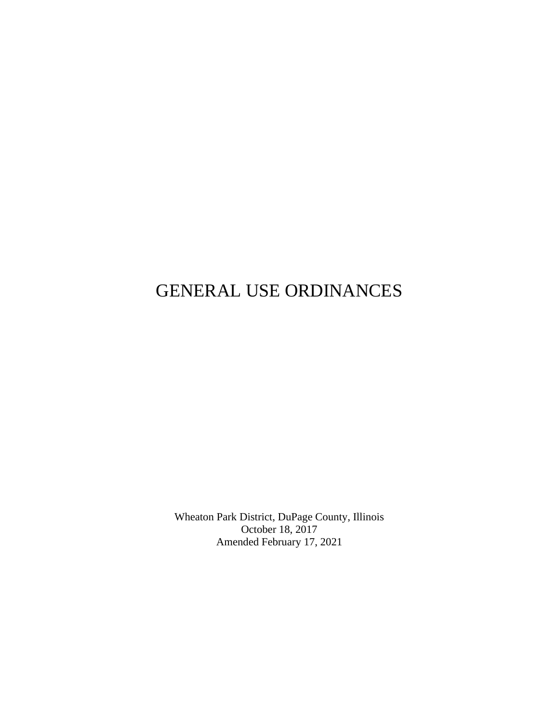# GENERAL USE ORDINANCES

Wheaton Park District, DuPage County, Illinois October 18, 2017 Amended February 17, 2021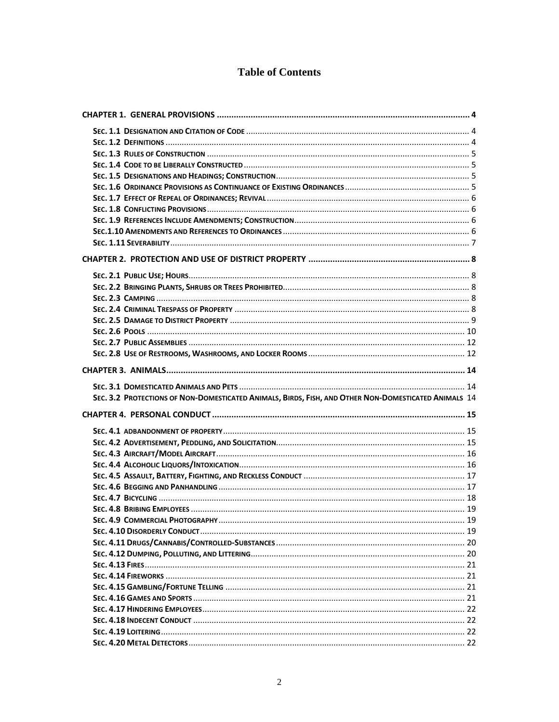# **Table of Contents**

| SEC. 3.2 PROTECTIONS OF NON-DOMESTICATED ANIMALS, BIRDS, FISH, AND OTHER NON-DOMESTICATED ANIMALS 14 |  |
|------------------------------------------------------------------------------------------------------|--|
|                                                                                                      |  |
|                                                                                                      |  |
|                                                                                                      |  |
|                                                                                                      |  |
|                                                                                                      |  |
|                                                                                                      |  |
|                                                                                                      |  |
|                                                                                                      |  |
|                                                                                                      |  |
|                                                                                                      |  |
|                                                                                                      |  |
|                                                                                                      |  |
|                                                                                                      |  |
|                                                                                                      |  |
|                                                                                                      |  |
|                                                                                                      |  |
|                                                                                                      |  |
|                                                                                                      |  |
|                                                                                                      |  |
|                                                                                                      |  |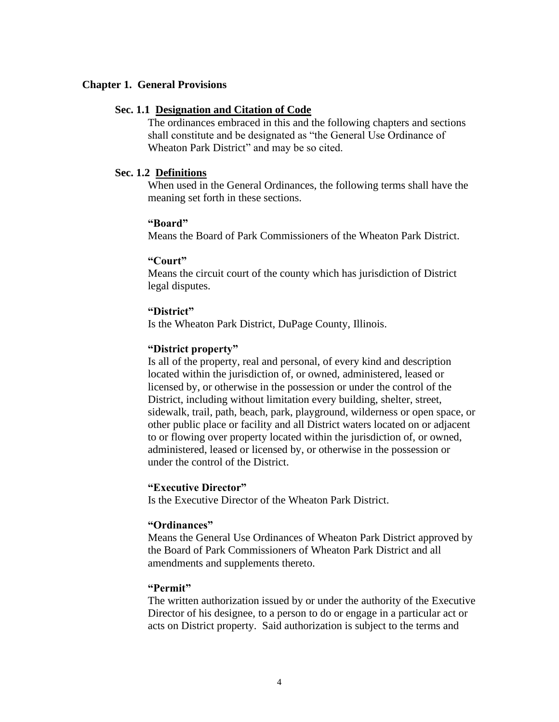## <span id="page-3-0"></span>**Chapter 1. General Provisions**

#### **Sec. 1.1 Designation and Citation of Code**

<span id="page-3-1"></span>The ordinances embraced in this and the following chapters and sections shall constitute and be designated as "the General Use Ordinance of Wheaton Park District" and may be so cited.

## **Sec. 1.2 Definitions**

<span id="page-3-2"></span>When used in the General Ordinances, the following terms shall have the meaning set forth in these sections.

## **"Board"**

Means the Board of Park Commissioners of the Wheaton Park District.

## **"Court"**

Means the circuit court of the county which has jurisdiction of District legal disputes.

### **"District"**

Is the Wheaton Park District, DuPage County, Illinois.

#### **"District property"**

Is all of the property, real and personal, of every kind and description located within the jurisdiction of, or owned, administered, leased or licensed by, or otherwise in the possession or under the control of the District, including without limitation every building, shelter, street, sidewalk, trail, path, beach, park, playground, wilderness or open space, or other public place or facility and all District waters located on or adjacent to or flowing over property located within the jurisdiction of, or owned, administered, leased or licensed by, or otherwise in the possession or under the control of the District.

## **"Executive Director"**

Is the Executive Director of the Wheaton Park District.

#### **"Ordinances"**

Means the General Use Ordinances of Wheaton Park District approved by the Board of Park Commissioners of Wheaton Park District and all amendments and supplements thereto.

## **"Permit"**

The written authorization issued by or under the authority of the Executive Director of his designee, to a person to do or engage in a particular act or acts on District property. Said authorization is subject to the terms and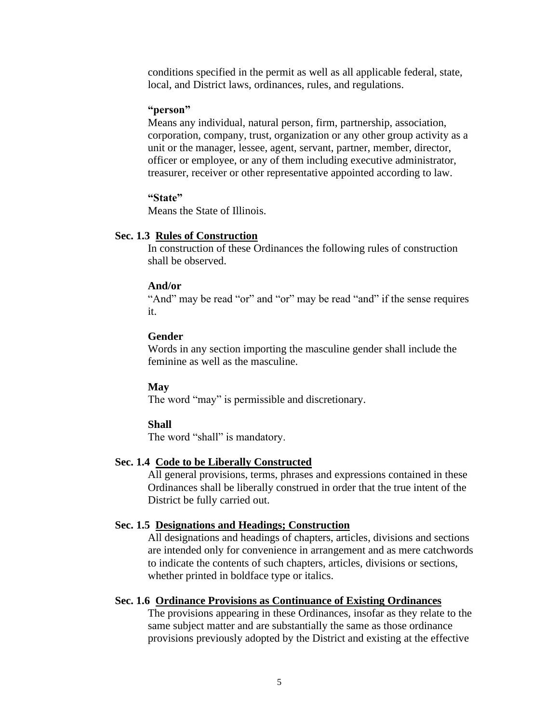conditions specified in the permit as well as all applicable federal, state, local, and District laws, ordinances, rules, and regulations.

#### **"person"**

Means any individual, natural person, firm, partnership, association, corporation, company, trust, organization or any other group activity as a unit or the manager, lessee, agent, servant, partner, member, director, officer or employee, or any of them including executive administrator, treasurer, receiver or other representative appointed according to law.

## **"State"**

Means the State of Illinois.

#### **Sec. 1.3 Rules of Construction**

<span id="page-4-0"></span>In construction of these Ordinances the following rules of construction shall be observed.

#### **And/or**

"And" may be read "or" and "or" may be read "and" if the sense requires it.

# **Gender**

Words in any section importing the masculine gender shall include the feminine as well as the masculine.

#### **May**

The word "may" is permissible and discretionary.

#### **Shall**

The word "shall" is mandatory.

#### **Sec. 1.4 Code to be Liberally Constructed**

<span id="page-4-1"></span>All general provisions, terms, phrases and expressions contained in these Ordinances shall be liberally construed in order that the true intent of the District be fully carried out.

#### **Sec. 1.5 Designations and Headings; Construction**

<span id="page-4-2"></span>All designations and headings of chapters, articles, divisions and sections are intended only for convenience in arrangement and as mere catchwords to indicate the contents of such chapters, articles, divisions or sections, whether printed in boldface type or italics.

## **Sec. 1.6 Ordinance Provisions as Continuance of Existing Ordinances**

<span id="page-4-3"></span>The provisions appearing in these Ordinances, insofar as they relate to the same subject matter and are substantially the same as those ordinance provisions previously adopted by the District and existing at the effective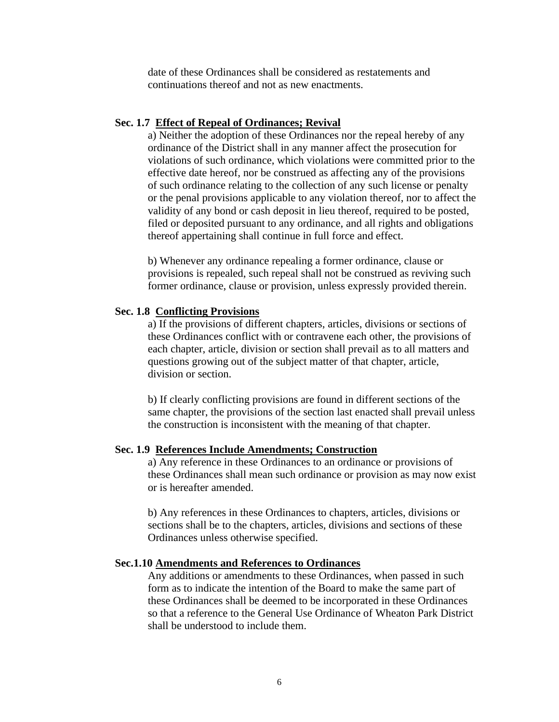date of these Ordinances shall be considered as restatements and continuations thereof and not as new enactments.

## **Sec. 1.7 Effect of Repeal of Ordinances; Revival**

<span id="page-5-0"></span>a) Neither the adoption of these Ordinances nor the repeal hereby of any ordinance of the District shall in any manner affect the prosecution for violations of such ordinance, which violations were committed prior to the effective date hereof, nor be construed as affecting any of the provisions of such ordinance relating to the collection of any such license or penalty or the penal provisions applicable to any violation thereof, nor to affect the validity of any bond or cash deposit in lieu thereof, required to be posted, filed or deposited pursuant to any ordinance, and all rights and obligations thereof appertaining shall continue in full force and effect.

b) Whenever any ordinance repealing a former ordinance, clause or provisions is repealed, such repeal shall not be construed as reviving such former ordinance, clause or provision, unless expressly provided therein.

## **Sec. 1.8 Conflicting Provisions**

<span id="page-5-1"></span>a) If the provisions of different chapters, articles, divisions or sections of these Ordinances conflict with or contravene each other, the provisions of each chapter, article, division or section shall prevail as to all matters and questions growing out of the subject matter of that chapter, article, division or section.

b) If clearly conflicting provisions are found in different sections of the same chapter, the provisions of the section last enacted shall prevail unless the construction is inconsistent with the meaning of that chapter.

#### **Sec. 1.9 References Include Amendments; Construction**

<span id="page-5-2"></span>a) Any reference in these Ordinances to an ordinance or provisions of these Ordinances shall mean such ordinance or provision as may now exist or is hereafter amended.

b) Any references in these Ordinances to chapters, articles, divisions or sections shall be to the chapters, articles, divisions and sections of these Ordinances unless otherwise specified.

#### **Sec.1.10 Amendments and References to Ordinances**

<span id="page-5-3"></span>Any additions or amendments to these Ordinances, when passed in such form as to indicate the intention of the Board to make the same part of these Ordinances shall be deemed to be incorporated in these Ordinances so that a reference to the General Use Ordinance of Wheaton Park District shall be understood to include them.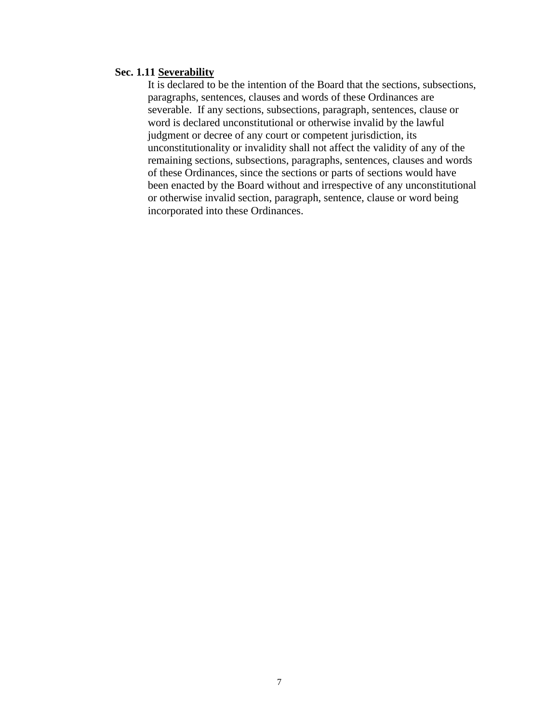# **Sec. 1.11 Severability**

<span id="page-6-0"></span>It is declared to be the intention of the Board that the sections, subsections, paragraphs, sentences, clauses and words of these Ordinances are severable. If any sections, subsections, paragraph, sentences, clause or word is declared unconstitutional or otherwise invalid by the lawful judgment or decree of any court or competent jurisdiction, its unconstitutionality or invalidity shall not affect the validity of any of the remaining sections, subsections, paragraphs, sentences, clauses and words of these Ordinances, since the sections or parts of sections would have been enacted by the Board without and irrespective of any unconstitutional or otherwise invalid section, paragraph, sentence, clause or word being incorporated into these Ordinances.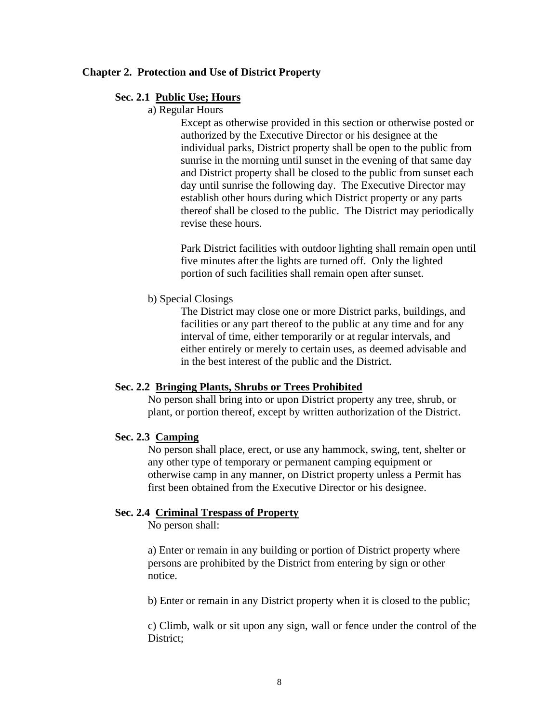## **Chapter 2. Protection and Use of District Property**

#### **Sec. 2.1 Public Use; Hours**

#### a) Regular Hours

<span id="page-7-1"></span><span id="page-7-0"></span>Except as otherwise provided in this section or otherwise posted or authorized by the Executive Director or his designee at the individual parks, District property shall be open to the public from sunrise in the morning until sunset in the evening of that same day and District property shall be closed to the public from sunset each day until sunrise the following day. The Executive Director may establish other hours during which District property or any parts thereof shall be closed to the public. The District may periodically revise these hours.

Park District facilities with outdoor lighting shall remain open until five minutes after the lights are turned off. Only the lighted portion of such facilities shall remain open after sunset.

#### b) Special Closings

<span id="page-7-2"></span>The District may close one or more District parks, buildings, and facilities or any part thereof to the public at any time and for any interval of time, either temporarily or at regular intervals, and either entirely or merely to certain uses, as deemed advisable and in the best interest of the public and the District.

## **Sec. 2.2 Bringing Plants, Shrubs or Trees Prohibited**

No person shall bring into or upon District property any tree, shrub, or plant, or portion thereof, except by written authorization of the District.

# **Sec. 2.3 Camping**

<span id="page-7-3"></span>No person shall place, erect, or use any hammock, swing, tent, shelter or any other type of temporary or permanent camping equipment or otherwise camp in any manner, on District property unless a Permit has first been obtained from the Executive Director or his designee.

#### **Sec. 2.4 Criminal Trespass of Property**

<span id="page-7-4"></span>No person shall:

a) Enter or remain in any building or portion of District property where persons are prohibited by the District from entering by sign or other notice.

b) Enter or remain in any District property when it is closed to the public;

c) Climb, walk or sit upon any sign, wall or fence under the control of the District: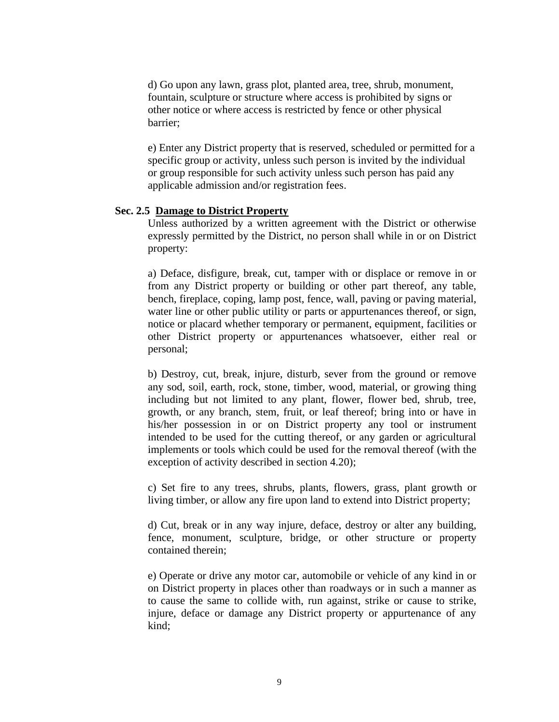d) Go upon any lawn, grass plot, planted area, tree, shrub, monument, fountain, sculpture or structure where access is prohibited by signs or other notice or where access is restricted by fence or other physical barrier;

e) Enter any District property that is reserved, scheduled or permitted for a specific group or activity, unless such person is invited by the individual or group responsible for such activity unless such person has paid any applicable admission and/or registration fees.

## **Sec. 2.5 Damage to District Property**

<span id="page-8-0"></span>Unless authorized by a written agreement with the District or otherwise expressly permitted by the District, no person shall while in or on District property:

a) Deface, disfigure, break, cut, tamper with or displace or remove in or from any District property or building or other part thereof, any table, bench, fireplace, coping, lamp post, fence, wall, paving or paving material, water line or other public utility or parts or appurtenances thereof, or sign, notice or placard whether temporary or permanent, equipment, facilities or other District property or appurtenances whatsoever, either real or personal;

b) Destroy, cut, break, injure, disturb, sever from the ground or remove any sod, soil, earth, rock, stone, timber, wood, material, or growing thing including but not limited to any plant, flower, flower bed, shrub, tree, growth, or any branch, stem, fruit, or leaf thereof; bring into or have in his/her possession in or on District property any tool or instrument intended to be used for the cutting thereof, or any garden or agricultural implements or tools which could be used for the removal thereof (with the exception of activity described in section 4.20);

c) Set fire to any trees, shrubs, plants, flowers, grass, plant growth or living timber, or allow any fire upon land to extend into District property;

d) Cut, break or in any way injure, deface, destroy or alter any building, fence, monument, sculpture, bridge, or other structure or property contained therein;

e) Operate or drive any motor car, automobile or vehicle of any kind in or on District property in places other than roadways or in such a manner as to cause the same to collide with, run against, strike or cause to strike, injure, deface or damage any District property or appurtenance of any kind;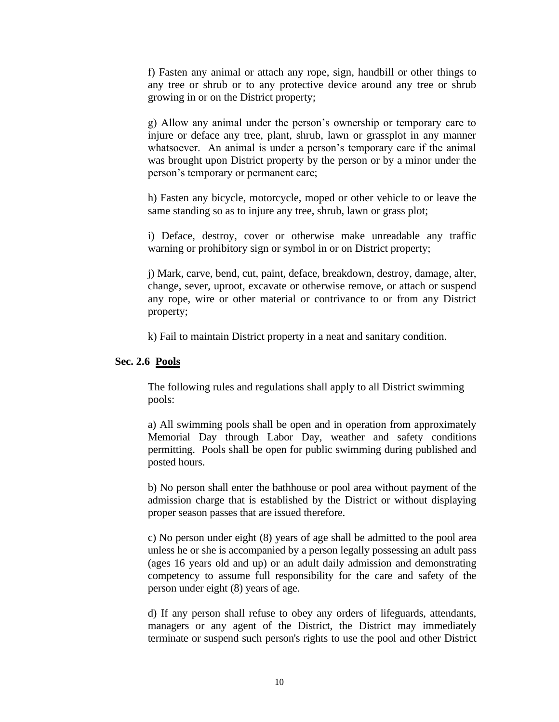f) Fasten any animal or attach any rope, sign, handbill or other things to any tree or shrub or to any protective device around any tree or shrub growing in or on the District property;

g) Allow any animal under the person's ownership or temporary care to injure or deface any tree, plant, shrub, lawn or grassplot in any manner whatsoever. An animal is under a person's temporary care if the animal was brought upon District property by the person or by a minor under the person's temporary or permanent care;

h) Fasten any bicycle, motorcycle, moped or other vehicle to or leave the same standing so as to injure any tree, shrub, lawn or grass plot;

i) Deface, destroy, cover or otherwise make unreadable any traffic warning or prohibitory sign or symbol in or on District property;

j) Mark, carve, bend, cut, paint, deface, breakdown, destroy, damage, alter, change, sever, uproot, excavate or otherwise remove, or attach or suspend any rope, wire or other material or contrivance to or from any District property;

<span id="page-9-0"></span>k) Fail to maintain District property in a neat and sanitary condition.

#### **Sec. 2.6 Pools**

The following rules and regulations shall apply to all District swimming pools:

a) All swimming pools shall be open and in operation from approximately Memorial Day through Labor Day, weather and safety conditions permitting. Pools shall be open for public swimming during published and posted hours.

b) No person shall enter the bathhouse or pool area without payment of the admission charge that is established by the District or without displaying proper season passes that are issued therefore.

c) No person under eight (8) years of age shall be admitted to the pool area unless he or she is accompanied by a person legally possessing an adult pass (ages 16 years old and up) or an adult daily admission and demonstrating competency to assume full responsibility for the care and safety of the person under eight (8) years of age.

d) If any person shall refuse to obey any orders of lifeguards, attendants, managers or any agent of the District, the District may immediately terminate or suspend such person's rights to use the pool and other District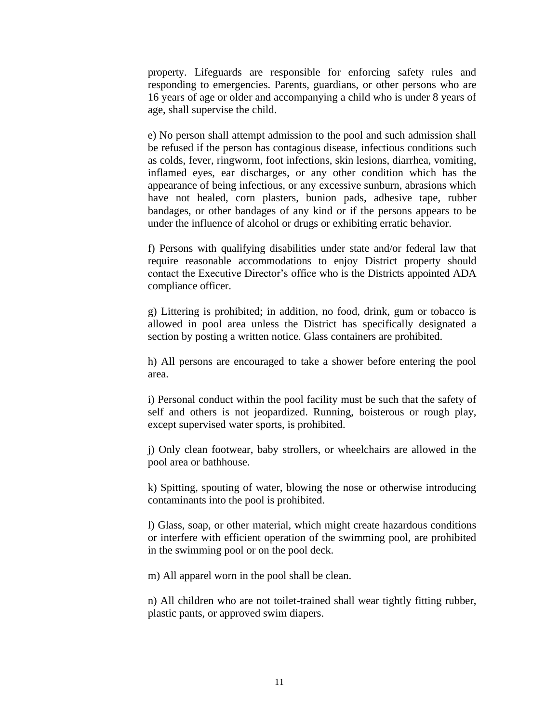property. Lifeguards are responsible for enforcing safety rules and responding to emergencies. Parents, guardians, or other persons who are 16 years of age or older and accompanying a child who is under 8 years of age, shall supervise the child.

e) No person shall attempt admission to the pool and such admission shall be refused if the person has contagious disease, infectious conditions such as colds, fever, ringworm, foot infections, skin lesions, diarrhea, vomiting, inflamed eyes, ear discharges, or any other condition which has the appearance of being infectious, or any excessive sunburn, abrasions which have not healed, corn plasters, bunion pads, adhesive tape, rubber bandages, or other bandages of any kind or if the persons appears to be under the influence of alcohol or drugs or exhibiting erratic behavior.

f) Persons with qualifying disabilities under state and/or federal law that require reasonable accommodations to enjoy District property should contact the Executive Director's office who is the Districts appointed ADA compliance officer.

g) Littering is prohibited; in addition, no food, drink, gum or tobacco is allowed in pool area unless the District has specifically designated a section by posting a written notice. Glass containers are prohibited.

h) All persons are encouraged to take a shower before entering the pool area.

i) Personal conduct within the pool facility must be such that the safety of self and others is not jeopardized. Running, boisterous or rough play, except supervised water sports, is prohibited.

j) Only clean footwear, baby strollers, or wheelchairs are allowed in the pool area or bathhouse.

k) Spitting, spouting of water, blowing the nose or otherwise introducing contaminants into the pool is prohibited.

l) Glass, soap, or other material, which might create hazardous conditions or interfere with efficient operation of the swimming pool, are prohibited in the swimming pool or on the pool deck.

m) All apparel worn in the pool shall be clean.

n) All children who are not toilet-trained shall wear tightly fitting rubber, plastic pants, or approved swim diapers.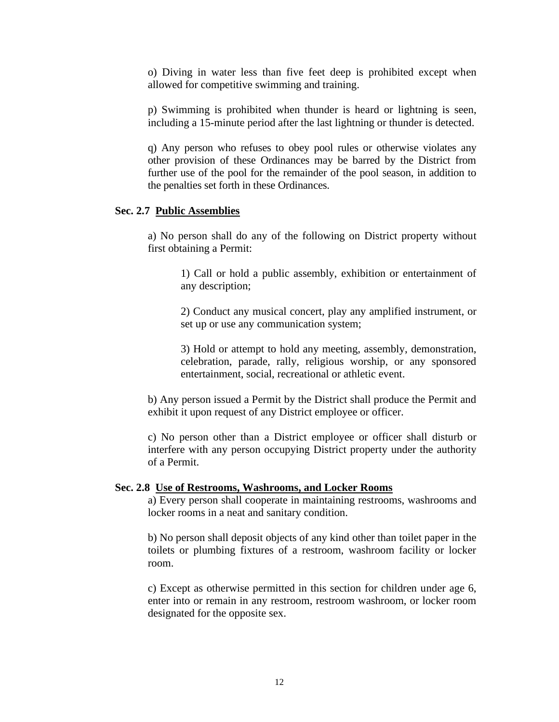o) Diving in water less than five feet deep is prohibited except when allowed for competitive swimming and training.

p) Swimming is prohibited when thunder is heard or lightning is seen, including a 15-minute period after the last lightning or thunder is detected.

q) Any person who refuses to obey pool rules or otherwise violates any other provision of these Ordinances may be barred by the District from further use of the pool for the remainder of the pool season, in addition to the penalties set forth in these Ordinances.

# **Sec. 2.7 Public Assemblies**

a) No person shall do any of the following on District property without first obtaining a Permit:

> <span id="page-11-0"></span>1) Call or hold a public assembly, exhibition or entertainment of any description;

> 2) Conduct any musical concert, play any amplified instrument, or set up or use any communication system;

> 3) Hold or attempt to hold any meeting, assembly, demonstration, celebration, parade, rally, religious worship, or any sponsored entertainment, social, recreational or athletic event.

b) Any person issued a Permit by the District shall produce the Permit and exhibit it upon request of any District employee or officer.

c) No person other than a District employee or officer shall disturb or interfere with any person occupying District property under the authority of a Permit.

#### **Sec. 2.8 Use of Restrooms, Washrooms, and Locker Rooms**

<span id="page-11-1"></span>a) Every person shall cooperate in maintaining restrooms, washrooms and locker rooms in a neat and sanitary condition.

b) No person shall deposit objects of any kind other than toilet paper in the toilets or plumbing fixtures of a restroom, washroom facility or locker room.

c) Except as otherwise permitted in this section for children under age 6, enter into or remain in any restroom, restroom washroom, or locker room designated for the opposite sex.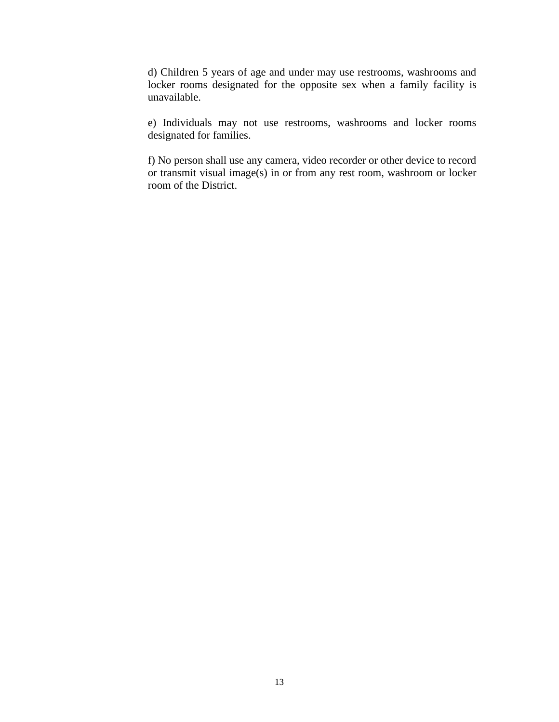d) Children 5 years of age and under may use restrooms, washrooms and locker rooms designated for the opposite sex when a family facility is unavailable.

e) Individuals may not use restrooms, washrooms and locker rooms designated for families.

f) No person shall use any camera, video recorder or other device to record or transmit visual image(s) in or from any rest room, washroom or locker room of the District.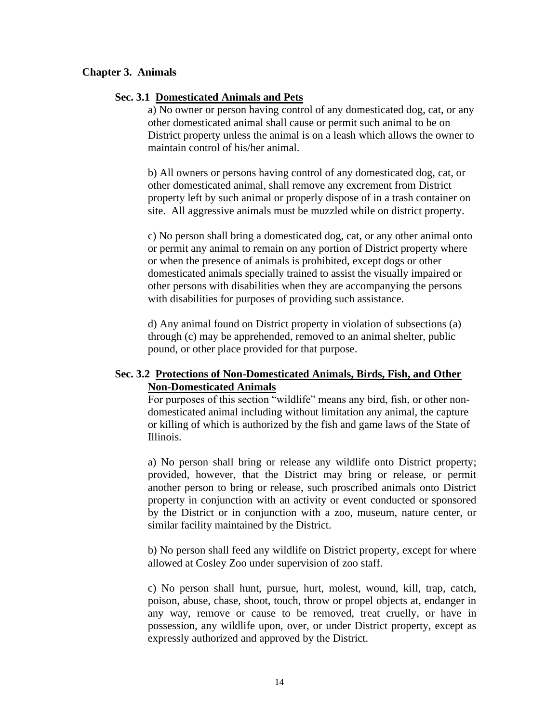# **Chapter 3. Animals**

## **Sec. 3.1 Domesticated Animals and Pets**

<span id="page-13-1"></span><span id="page-13-0"></span>a) No owner or person having control of any domesticated dog, cat, or any other domesticated animal shall cause or permit such animal to be on District property unless the animal is on a leash which allows the owner to maintain control of his/her animal.

b) All owners or persons having control of any domesticated dog, cat, or other domesticated animal, shall remove any excrement from District property left by such animal or properly dispose of in a trash container on site. All aggressive animals must be muzzled while on district property.

c) No person shall bring a domesticated dog, cat, or any other animal onto or permit any animal to remain on any portion of District property where or when the presence of animals is prohibited, except dogs or other domesticated animals specially trained to assist the visually impaired or other persons with disabilities when they are accompanying the persons with disabilities for purposes of providing such assistance.

d) Any animal found on District property in violation of subsections (a) through (c) may be apprehended, removed to an animal shelter, public pound, or other place provided for that purpose.

## **Sec. 3.2 Protections of Non-Domesticated Animals, Birds, Fish, and Other Non-Domesticated Animals**

<span id="page-13-2"></span>For purposes of this section "wildlife" means any bird, fish, or other nondomesticated animal including without limitation any animal, the capture or killing of which is authorized by the fish and game laws of the State of Illinois.

a) No person shall bring or release any wildlife onto District property; provided, however, that the District may bring or release, or permit another person to bring or release, such proscribed animals onto District property in conjunction with an activity or event conducted or sponsored by the District or in conjunction with a zoo, museum, nature center, or similar facility maintained by the District.

b) No person shall feed any wildlife on District property, except for where allowed at Cosley Zoo under supervision of zoo staff.

c) No person shall hunt, pursue, hurt, molest, wound, kill, trap, catch, poison, abuse, chase, shoot, touch, throw or propel objects at, endanger in any way, remove or cause to be removed, treat cruelly, or have in possession, any wildlife upon, over, or under District property, except as expressly authorized and approved by the District.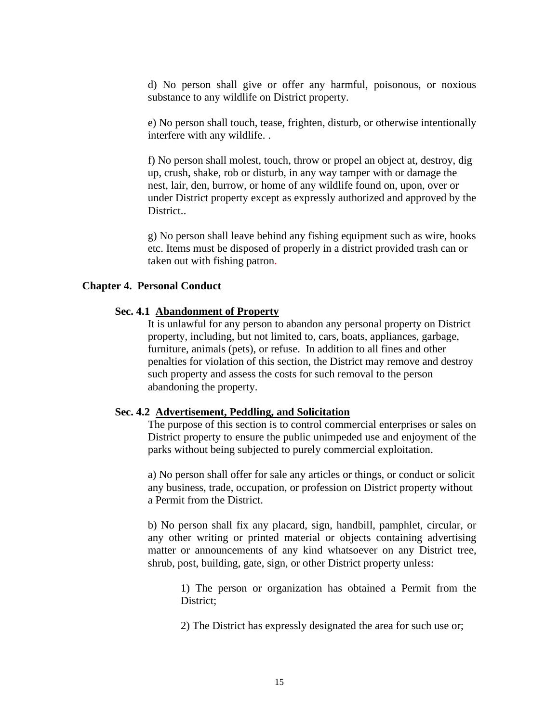d) No person shall give or offer any harmful, poisonous, or noxious substance to any wildlife on District property.

e) No person shall touch, tease, frighten, disturb, or otherwise intentionally interfere with any wildlife. .

f) No person shall molest, touch, throw or propel an object at, destroy, dig up, crush, shake, rob or disturb, in any way tamper with or damage the nest, lair, den, burrow, or home of any wildlife found on, upon, over or under District property except as expressly authorized and approved by the District..

g) No person shall leave behind any fishing equipment such as wire, hooks etc. Items must be disposed of properly in a district provided trash can or taken out with fishing patron.

## **Chapter 4. Personal Conduct**

#### **Sec. 4.1 Abandonment of Property**

<span id="page-14-0"></span>It is unlawful for any person to abandon any personal property on District property, including, but not limited to, cars, boats, appliances, garbage, furniture, animals (pets), or refuse. In addition to all fines and other penalties for violation of this section, the District may remove and destroy such property and assess the costs for such removal to the person abandoning the property.

#### **Sec. 4.2 Advertisement, Peddling, and Solicitation**

<span id="page-14-1"></span>The purpose of this section is to control commercial enterprises or sales on District property to ensure the public unimpeded use and enjoyment of the parks without being subjected to purely commercial exploitation.

a) No person shall offer for sale any articles or things, or conduct or solicit any business, trade, occupation, or profession on District property without a Permit from the District.

b) No person shall fix any placard, sign, handbill, pamphlet, circular, or any other writing or printed material or objects containing advertising matter or announcements of any kind whatsoever on any District tree, shrub, post, building, gate, sign, or other District property unless:

1) The person or organization has obtained a Permit from the District;

2) The District has expressly designated the area for such use or;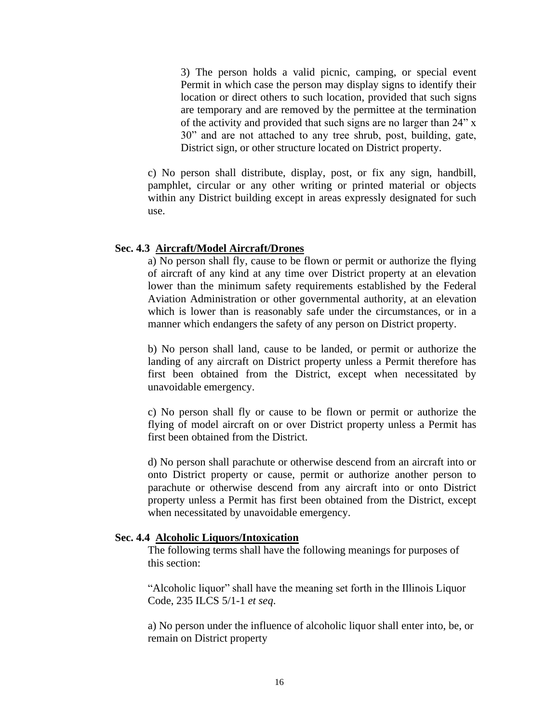3) The person holds a valid picnic, camping, or special event Permit in which case the person may display signs to identify their location or direct others to such location, provided that such signs are temporary and are removed by the permittee at the termination of the activity and provided that such signs are no larger than 24" x 30" and are not attached to any tree shrub, post, building, gate, District sign, or other structure located on District property.

c) No person shall distribute, display, post, or fix any sign, handbill, pamphlet, circular or any other writing or printed material or objects within any District building except in areas expressly designated for such use.

#### **Sec. 4.3 Aircraft/Model Aircraft/Drones**

<span id="page-15-0"></span>a) No person shall fly, cause to be flown or permit or authorize the flying of aircraft of any kind at any time over District property at an elevation lower than the minimum safety requirements established by the Federal Aviation Administration or other governmental authority, at an elevation which is lower than is reasonably safe under the circumstances, or in a manner which endangers the safety of any person on District property.

b) No person shall land, cause to be landed, or permit or authorize the landing of any aircraft on District property unless a Permit therefore has first been obtained from the District, except when necessitated by unavoidable emergency.

c) No person shall fly or cause to be flown or permit or authorize the flying of model aircraft on or over District property unless a Permit has first been obtained from the District.

d) No person shall parachute or otherwise descend from an aircraft into or onto District property or cause, permit or authorize another person to parachute or otherwise descend from any aircraft into or onto District property unless a Permit has first been obtained from the District, except when necessitated by unavoidable emergency.

#### **Sec. 4.4 Alcoholic Liquors/Intoxication**

<span id="page-15-1"></span>The following terms shall have the following meanings for purposes of this section:

"Alcoholic liquor" shall have the meaning set forth in the Illinois Liquor Code, 235 ILCS 5/1-1 *et seq*.

a) No person under the influence of alcoholic liquor shall enter into, be, or remain on District property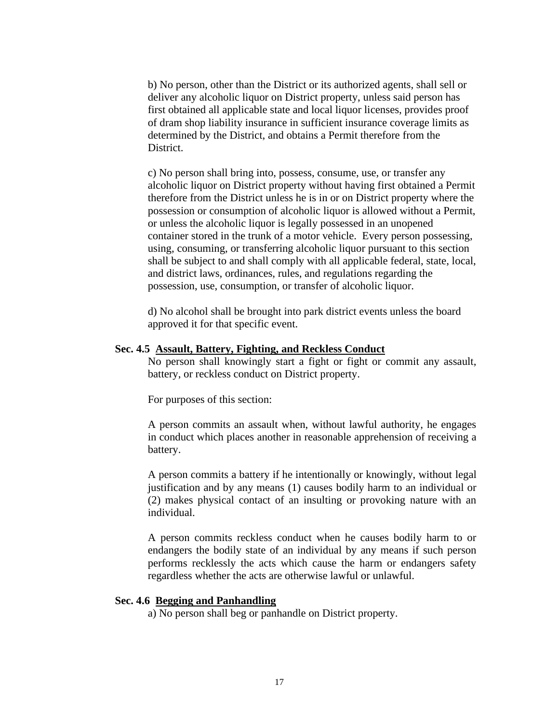b) No person, other than the District or its authorized agents, shall sell or deliver any alcoholic liquor on District property, unless said person has first obtained all applicable state and local liquor licenses, provides proof of dram shop liability insurance in sufficient insurance coverage limits as determined by the District, and obtains a Permit therefore from the District.

c) No person shall bring into, possess, consume, use, or transfer any alcoholic liquor on District property without having first obtained a Permit therefore from the District unless he is in or on District property where the possession or consumption of alcoholic liquor is allowed without a Permit, or unless the alcoholic liquor is legally possessed in an unopened container stored in the trunk of a motor vehicle. Every person possessing, using, consuming, or transferring alcoholic liquor pursuant to this section shall be subject to and shall comply with all applicable federal, state, local, and district laws, ordinances, rules, and regulations regarding the possession, use, consumption, or transfer of alcoholic liquor.

d) No alcohol shall be brought into park district events unless the board approved it for that specific event.

#### **Sec. 4.5 Assault, Battery, Fighting, and Reckless Conduct**

<span id="page-16-0"></span>No person shall knowingly start a fight or fight or commit any assault, battery, or reckless conduct on District property.

For purposes of this section:

A person commits an assault when, without lawful authority, he engages in conduct which places another in reasonable apprehension of receiving a battery.

A person commits a battery if he intentionally or knowingly, without legal justification and by any means (1) causes bodily harm to an individual or (2) makes physical contact of an insulting or provoking nature with an individual.

A person commits reckless conduct when he causes bodily harm to or endangers the bodily state of an individual by any means if such person performs recklessly the acts which cause the harm or endangers safety regardless whether the acts are otherwise lawful or unlawful.

## **Sec. 4.6 Begging and Panhandling**

<span id="page-16-1"></span>a) No person shall beg or panhandle on District property.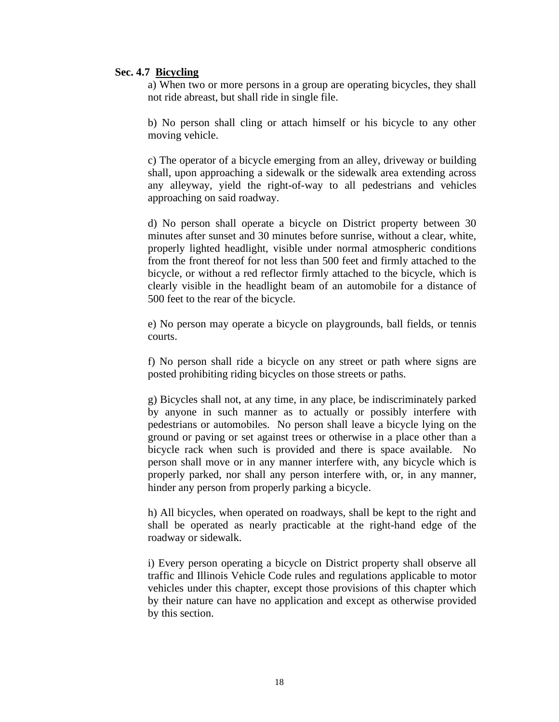## **Sec. 4.7 Bicycling**

<span id="page-17-0"></span>a) When two or more persons in a group are operating bicycles, they shall not ride abreast, but shall ride in single file.

b) No person shall cling or attach himself or his bicycle to any other moving vehicle.

c) The operator of a bicycle emerging from an alley, driveway or building shall, upon approaching a sidewalk or the sidewalk area extending across any alleyway, yield the right-of-way to all pedestrians and vehicles approaching on said roadway.

d) No person shall operate a bicycle on District property between 30 minutes after sunset and 30 minutes before sunrise, without a clear, white, properly lighted headlight, visible under normal atmospheric conditions from the front thereof for not less than 500 feet and firmly attached to the bicycle, or without a red reflector firmly attached to the bicycle, which is clearly visible in the headlight beam of an automobile for a distance of 500 feet to the rear of the bicycle.

e) No person may operate a bicycle on playgrounds, ball fields, or tennis courts.

f) No person shall ride a bicycle on any street or path where signs are posted prohibiting riding bicycles on those streets or paths.

g) Bicycles shall not, at any time, in any place, be indiscriminately parked by anyone in such manner as to actually or possibly interfere with pedestrians or automobiles. No person shall leave a bicycle lying on the ground or paving or set against trees or otherwise in a place other than a bicycle rack when such is provided and there is space available. No person shall move or in any manner interfere with, any bicycle which is properly parked, nor shall any person interfere with, or, in any manner, hinder any person from properly parking a bicycle.

h) All bicycles, when operated on roadways, shall be kept to the right and shall be operated as nearly practicable at the right-hand edge of the roadway or sidewalk.

i) Every person operating a bicycle on District property shall observe all traffic and Illinois Vehicle Code rules and regulations applicable to motor vehicles under this chapter, except those provisions of this chapter which by their nature can have no application and except as otherwise provided by this section.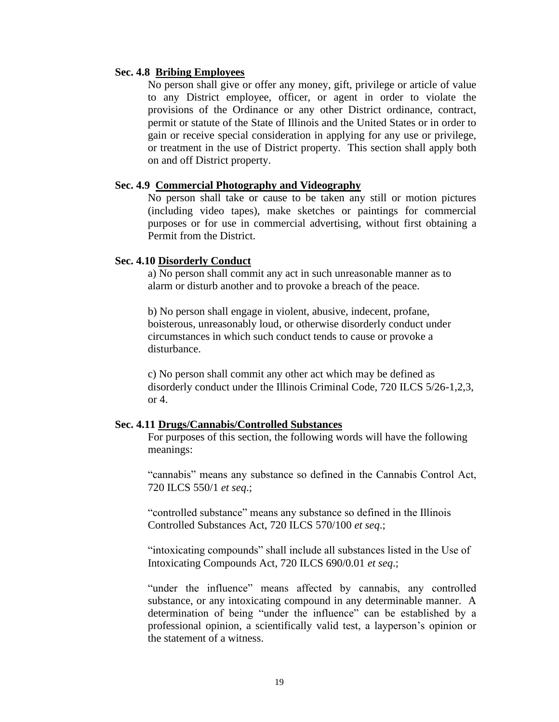## **Sec. 4.8 Bribing Employees**

<span id="page-18-0"></span>No person shall give or offer any money, gift, privilege or article of value to any District employee, officer, or agent in order to violate the provisions of the Ordinance or any other District ordinance, contract, permit or statute of the State of Illinois and the United States or in order to gain or receive special consideration in applying for any use or privilege, or treatment in the use of District property. This section shall apply both on and off District property.

#### **Sec. 4.9 Commercial Photography and Videography**

<span id="page-18-1"></span>No person shall take or cause to be taken any still or motion pictures (including video tapes), make sketches or paintings for commercial purposes or for use in commercial advertising, without first obtaining a Permit from the District.

## **Sec. 4.10 Disorderly Conduct**

<span id="page-18-2"></span>a) No person shall commit any act in such unreasonable manner as to alarm or disturb another and to provoke a breach of the peace.

b) No person shall engage in violent, abusive, indecent, profane, boisterous, unreasonably loud, or otherwise disorderly conduct under circumstances in which such conduct tends to cause or provoke a disturbance.

c) No person shall commit any other act which may be defined as disorderly conduct under the Illinois Criminal Code, 720 ILCS 5/26-1,2,3, or 4.

#### **Sec. 4.11 Drugs/Cannabis/Controlled Substances**

For purposes of this section, the following words will have the following meanings:

"cannabis" means any substance so defined in the Cannabis Control Act, 720 ILCS 550/1 *et seq*.;

"controlled substance" means any substance so defined in the Illinois Controlled Substances Act, 720 ILCS 570/100 *et seq*.;

"intoxicating compounds" shall include all substances listed in the Use of Intoxicating Compounds Act, 720 ILCS 690/0.01 *et seq*.;

"under the influence" means affected by cannabis, any controlled substance, or any intoxicating compound in any determinable manner. A determination of being "under the influence" can be established by a professional opinion, a scientifically valid test, a layperson's opinion or the statement of a witness.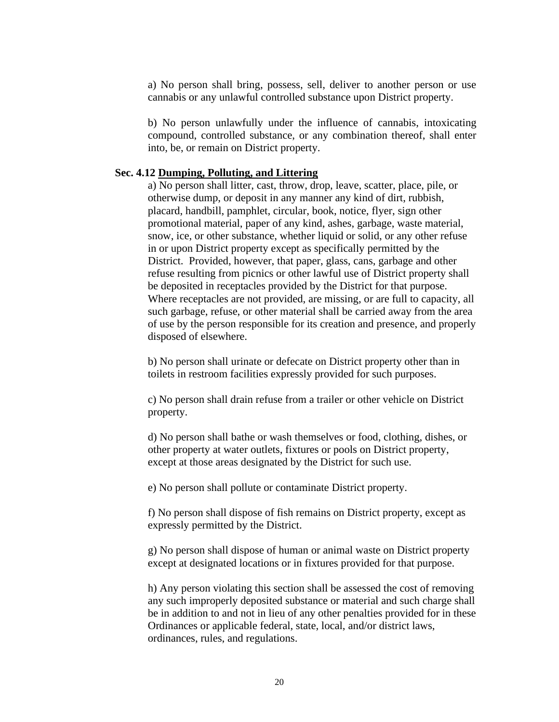a) No person shall bring, possess, sell, deliver to another person or use cannabis or any unlawful controlled substance upon District property.

b) No person unlawfully under the influence of cannabis, intoxicating compound, controlled substance, or any combination thereof, shall enter into, be, or remain on District property.

#### **Sec. 4.12 Dumping, Polluting, and Littering**

<span id="page-19-0"></span>a) No person shall litter, cast, throw, drop, leave, scatter, place, pile, or otherwise dump, or deposit in any manner any kind of dirt, rubbish, placard, handbill, pamphlet, circular, book, notice, flyer, sign other promotional material, paper of any kind, ashes, garbage, waste material, snow, ice, or other substance, whether liquid or solid, or any other refuse in or upon District property except as specifically permitted by the District. Provided, however, that paper, glass, cans, garbage and other refuse resulting from picnics or other lawful use of District property shall be deposited in receptacles provided by the District for that purpose. Where receptacles are not provided, are missing, or are full to capacity, all such garbage, refuse, or other material shall be carried away from the area of use by the person responsible for its creation and presence, and properly disposed of elsewhere.

b) No person shall urinate or defecate on District property other than in toilets in restroom facilities expressly provided for such purposes.

c) No person shall drain refuse from a trailer or other vehicle on District property.

d) No person shall bathe or wash themselves or food, clothing, dishes, or other property at water outlets, fixtures or pools on District property, except at those areas designated by the District for such use.

e) No person shall pollute or contaminate District property.

f) No person shall dispose of fish remains on District property, except as expressly permitted by the District.

g) No person shall dispose of human or animal waste on District property except at designated locations or in fixtures provided for that purpose.

h) Any person violating this section shall be assessed the cost of removing any such improperly deposited substance or material and such charge shall be in addition to and not in lieu of any other penalties provided for in these Ordinances or applicable federal, state, local, and/or district laws, ordinances, rules, and regulations.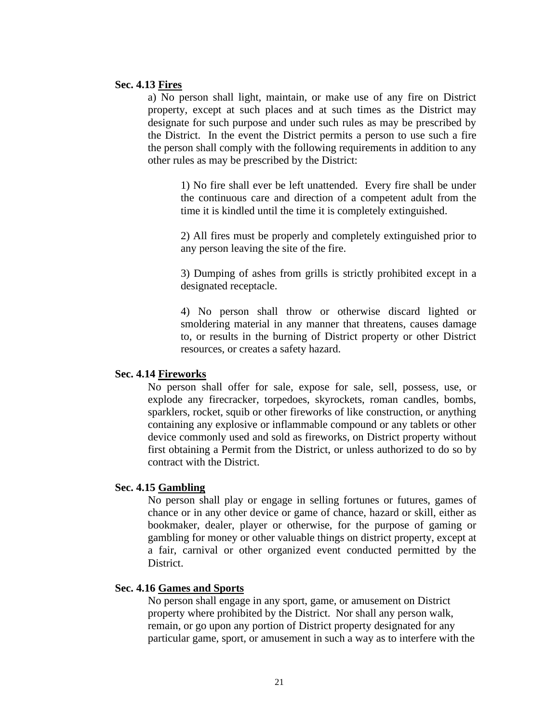## **Sec. 4.13 Fires**

<span id="page-20-0"></span>a) No person shall light, maintain, or make use of any fire on District property, except at such places and at such times as the District may designate for such purpose and under such rules as may be prescribed by the District. In the event the District permits a person to use such a fire the person shall comply with the following requirements in addition to any other rules as may be prescribed by the District:

1) No fire shall ever be left unattended. Every fire shall be under the continuous care and direction of a competent adult from the time it is kindled until the time it is completely extinguished.

2) All fires must be properly and completely extinguished prior to any person leaving the site of the fire.

3) Dumping of ashes from grills is strictly prohibited except in a designated receptacle.

4) No person shall throw or otherwise discard lighted or smoldering material in any manner that threatens, causes damage to, or results in the burning of District property or other District resources, or creates a safety hazard.

## **Sec. 4.14 Fireworks**

<span id="page-20-1"></span>No person shall offer for sale, expose for sale, sell, possess, use, or explode any firecracker, torpedoes, skyrockets, roman candles, bombs, sparklers, rocket, squib or other fireworks of like construction, or anything containing any explosive or inflammable compound or any tablets or other device commonly used and sold as fireworks, on District property without first obtaining a Permit from the District, or unless authorized to do so by contract with the District.

#### **Sec. 4.15 Gambling**

<span id="page-20-2"></span>No person shall play or engage in selling fortunes or futures, games of chance or in any other device or game of chance, hazard or skill, either as bookmaker, dealer, player or otherwise, for the purpose of gaming or gambling for money or other valuable things on district property, except at a fair, carnival or other organized event conducted permitted by the District.

## **Sec. 4.16 Games and Sports**

<span id="page-20-3"></span>No person shall engage in any sport, game, or amusement on District property where prohibited by the District. Nor shall any person walk, remain, or go upon any portion of District property designated for any particular game, sport, or amusement in such a way as to interfere with the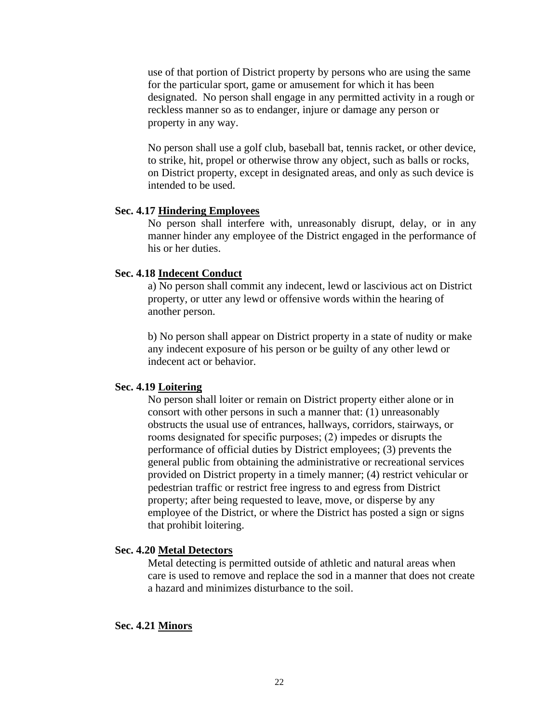use of that portion of District property by persons who are using the same for the particular sport, game or amusement for which it has been designated. No person shall engage in any permitted activity in a rough or reckless manner so as to endanger, injure or damage any person or property in any way.

No person shall use a golf club, baseball bat, tennis racket, or other device, to strike, hit, propel or otherwise throw any object, such as balls or rocks, on District property, except in designated areas, and only as such device is intended to be used.

## **Sec. 4.17 Hindering Employees**

<span id="page-21-0"></span>No person shall interfere with, unreasonably disrupt, delay, or in any manner hinder any employee of the District engaged in the performance of his or her duties.

## **Sec. 4.18 Indecent Conduct**

<span id="page-21-1"></span>a) No person shall commit any indecent, lewd or lascivious act on District property, or utter any lewd or offensive words within the hearing of another person.

b) No person shall appear on District property in a state of nudity or make any indecent exposure of his person or be guilty of any other lewd or indecent act or behavior.

#### **Sec. 4.19 Loitering**

<span id="page-21-2"></span>No person shall loiter or remain on District property either alone or in consort with other persons in such a manner that: (1) unreasonably obstructs the usual use of entrances, hallways, corridors, stairways, or rooms designated for specific purposes; (2) impedes or disrupts the performance of official duties by District employees; (3) prevents the general public from obtaining the administrative or recreational services provided on District property in a timely manner; (4) restrict vehicular or pedestrian traffic or restrict free ingress to and egress from District property; after being requested to leave, move, or disperse by any employee of the District, or where the District has posted a sign or signs that prohibit loitering.

#### **Sec. 4.20 Metal Detectors**

<span id="page-21-4"></span><span id="page-21-3"></span>Metal detecting is permitted outside of athletic and natural areas when care is used to remove and replace the sod in a manner that does not create a hazard and minimizes disturbance to the soil.

#### **Sec. 4.21 Minors**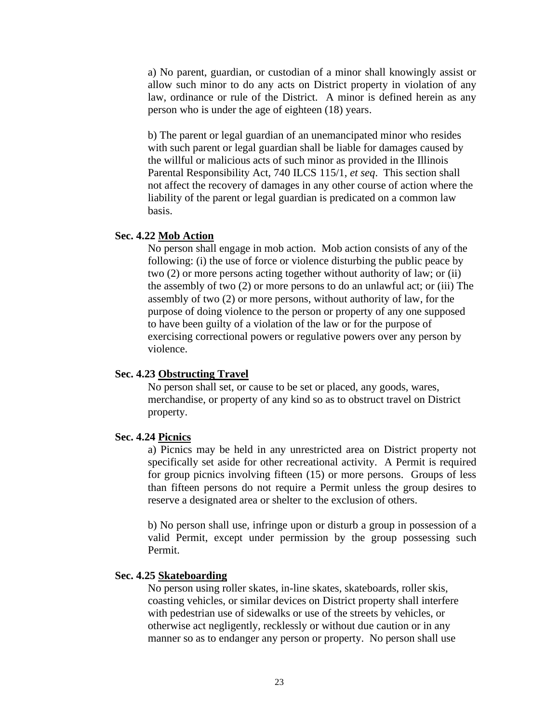a) No parent, guardian, or custodian of a minor shall knowingly assist or allow such minor to do any acts on District property in violation of any law, ordinance or rule of the District. A minor is defined herein as any person who is under the age of eighteen (18) years.

b) The parent or legal guardian of an unemancipated minor who resides with such parent or legal guardian shall be liable for damages caused by the willful or malicious acts of such minor as provided in the Illinois Parental Responsibility Act, 740 ILCS 115/1, *et seq*. This section shall not affect the recovery of damages in any other course of action where the liability of the parent or legal guardian is predicated on a common law basis.

## **Sec. 4.22 Mob Action**

<span id="page-22-0"></span>No person shall engage in mob action. Mob action consists of any of the following: (i) the use of force or violence disturbing the public peace by two (2) or more persons acting together without authority of law; or (ii) the assembly of two (2) or more persons to do an unlawful act; or (iii) The assembly of two (2) or more persons, without authority of law, for the purpose of doing violence to the person or property of any one supposed to have been guilty of a violation of the law or for the purpose of exercising correctional powers or regulative powers over any person by violence.

#### **Sec. 4.23 Obstructing Travel**

<span id="page-22-1"></span>No person shall set, or cause to be set or placed, any goods, wares, merchandise, or property of any kind so as to obstruct travel on District property.

#### **Sec. 4.24 Picnics**

<span id="page-22-2"></span>a) Picnics may be held in any unrestricted area on District property not specifically set aside for other recreational activity. A Permit is required for group picnics involving fifteen (15) or more persons. Groups of less than fifteen persons do not require a Permit unless the group desires to reserve a designated area or shelter to the exclusion of others.

b) No person shall use, infringe upon or disturb a group in possession of a valid Permit, except under permission by the group possessing such Permit.

#### **Sec. 4.25 Skateboarding**

<span id="page-22-3"></span>No person using roller skates, in-line skates, skateboards, roller skis, coasting vehicles, or similar devices on District property shall interfere with pedestrian use of sidewalks or use of the streets by vehicles, or otherwise act negligently, recklessly or without due caution or in any manner so as to endanger any person or property. No person shall use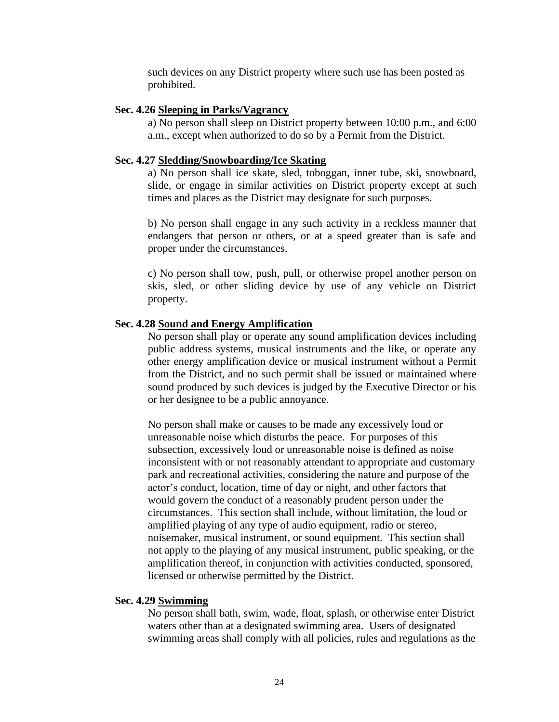such devices on any District property where such use has been posted as prohibited.

#### **Sec. 4.26 Sleeping in Parks/Vagrancy**

<span id="page-23-0"></span>a) No person shall sleep on District property between 10:00 p.m., and 6:00 a.m., except when authorized to do so by a Permit from the District.

## **Sec. 4.27 Sledding/Snowboarding/Ice Skating**

<span id="page-23-1"></span>a) No person shall ice skate, sled, toboggan, inner tube, ski, snowboard, slide, or engage in similar activities on District property except at such times and places as the District may designate for such purposes.

b) No person shall engage in any such activity in a reckless manner that endangers that person or others, or at a speed greater than is safe and proper under the circumstances.

c) No person shall tow, push, pull, or otherwise propel another person on skis, sled, or other sliding device by use of any vehicle on District property.

#### **Sec. 4.28 Sound and Energy Amplification**

<span id="page-23-2"></span>No person shall play or operate any sound amplification devices including public address systems, musical instruments and the like, or operate any other energy amplification device or musical instrument without a Permit from the District, and no such permit shall be issued or maintained where sound produced by such devices is judged by the Executive Director or his or her designee to be a public annoyance.

No person shall make or causes to be made any excessively loud or unreasonable noise which disturbs the peace. For purposes of this subsection, excessively loud or unreasonable noise is defined as noise inconsistent with or not reasonably attendant to appropriate and customary park and recreational activities, considering the nature and purpose of the actor's conduct, location, time of day or night, and other factors that would govern the conduct of a reasonably prudent person under the circumstances. This section shall include, without limitation, the loud or amplified playing of any type of audio equipment, radio or stereo, noisemaker, musical instrument, or sound equipment. This section shall not apply to the playing of any musical instrument, public speaking, or the amplification thereof, in conjunction with activities conducted, sponsored, licensed or otherwise permitted by the District.

#### **Sec. 4.29 Swimming**

<span id="page-23-3"></span>No person shall bath, swim, wade, float, splash, or otherwise enter District waters other than at a designated swimming area. Users of designated swimming areas shall comply with all policies, rules and regulations as the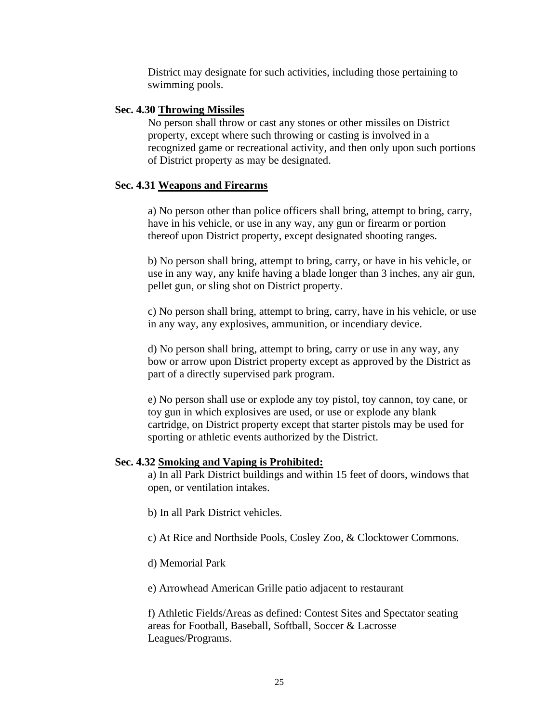District may designate for such activities, including those pertaining to swimming pools.

## <span id="page-24-1"></span>**Sec. 4.30 Throwing Missiles**

<span id="page-24-0"></span>No person shall throw or cast any stones or other missiles on District property, except where such throwing or casting is involved in a recognized game or recreational activity, and then only upon such portions of District property as may be designated.

#### **Sec. 4.31 Weapons and Firearms**

a) No person other than police officers shall bring, attempt to bring, carry, have in his vehicle, or use in any way, any gun or firearm or portion thereof upon District property, except designated shooting ranges.

b) No person shall bring, attempt to bring, carry, or have in his vehicle, or use in any way, any knife having a blade longer than 3 inches, any air gun, pellet gun, or sling shot on District property.

c) No person shall bring, attempt to bring, carry, have in his vehicle, or use in any way, any explosives, ammunition, or incendiary device.

d) No person shall bring, attempt to bring, carry or use in any way, any bow or arrow upon District property except as approved by the District as part of a directly supervised park program.

e) No person shall use or explode any toy pistol, toy cannon, toy cane, or toy gun in which explosives are used, or use or explode any blank cartridge, on District property except that starter pistols may be used for sporting or athletic events authorized by the District.

#### **Sec. 4.32 Smoking and Vaping is Prohibited:**

a) In all Park District buildings and within 15 feet of doors, windows that open, or ventilation intakes.

b) In all Park District vehicles.

c) At Rice and Northside Pools, Cosley Zoo, & Clocktower Commons.

d) Memorial Park

e) Arrowhead American Grille patio adjacent to restaurant

f) Athletic Fields/Areas as defined: Contest Sites and Spectator seating areas for Football, Baseball, Softball, Soccer & Lacrosse Leagues/Programs.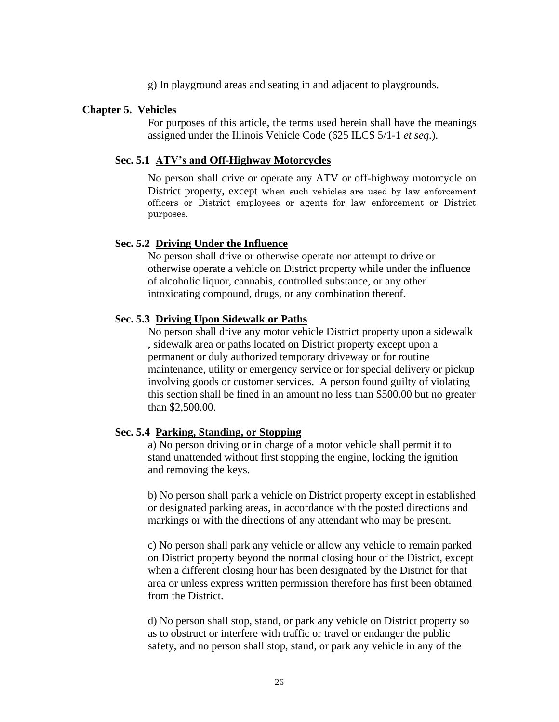g) In playground areas and seating in and adjacent to playgrounds.

## **Chapter 5. Vehicles**

<span id="page-25-0"></span>For purposes of this article, the terms used herein shall have the meanings assigned under the Illinois Vehicle Code (625 ILCS 5/1-1 *et seq*.).

## **Sec. 5.1 ATV's and Off-Highway Motorcycles**

<span id="page-25-1"></span>No person shall drive or operate any ATV or off-highway motorcycle on District property, except when such vehicles are used by law enforcement officers or District employees or agents for law enforcement or District purposes.

## **Sec. 5.2 Driving Under the Influence**

<span id="page-25-2"></span>No person shall drive or otherwise operate nor attempt to drive or otherwise operate a vehicle on District property while under the influence of alcoholic liquor, cannabis, controlled substance, or any other intoxicating compound, drugs, or any combination thereof.

## **Sec. 5.3 Driving Upon Sidewalk or Paths**

<span id="page-25-3"></span>No person shall drive any motor vehicle District property upon a sidewalk , sidewalk area or paths located on District property except upon a permanent or duly authorized temporary driveway or for routine maintenance, utility or emergency service or for special delivery or pickup involving goods or customer services. A person found guilty of violating this section shall be fined in an amount no less than \$500.00 but no greater than \$2,500.00.

## **Sec. 5.4 Parking, Standing, or Stopping**

<span id="page-25-4"></span>a) No person driving or in charge of a motor vehicle shall permit it to stand unattended without first stopping the engine, locking the ignition and removing the keys.

b) No person shall park a vehicle on District property except in established or designated parking areas, in accordance with the posted directions and markings or with the directions of any attendant who may be present.

c) No person shall park any vehicle or allow any vehicle to remain parked on District property beyond the normal closing hour of the District, except when a different closing hour has been designated by the District for that area or unless express written permission therefore has first been obtained from the District.

d) No person shall stop, stand, or park any vehicle on District property so as to obstruct or interfere with traffic or travel or endanger the public safety, and no person shall stop, stand, or park any vehicle in any of the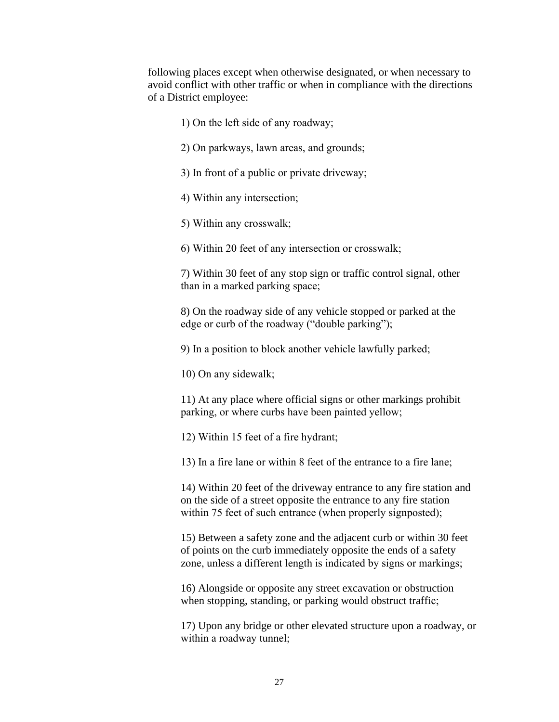following places except when otherwise designated, or when necessary to avoid conflict with other traffic or when in compliance with the directions of a District employee:

1) On the left side of any roadway;

2) On parkways, lawn areas, and grounds;

3) In front of a public or private driveway;

4) Within any intersection;

5) Within any crosswalk;

6) Within 20 feet of any intersection or crosswalk;

7) Within 30 feet of any stop sign or traffic control signal, other than in a marked parking space;

8) On the roadway side of any vehicle stopped or parked at the edge or curb of the roadway ("double parking");

9) In a position to block another vehicle lawfully parked;

10) On any sidewalk;

11) At any place where official signs or other markings prohibit parking, or where curbs have been painted yellow;

12) Within 15 feet of a fire hydrant;

13) In a fire lane or within 8 feet of the entrance to a fire lane;

14) Within 20 feet of the driveway entrance to any fire station and on the side of a street opposite the entrance to any fire station within 75 feet of such entrance (when properly signposted);

15) Between a safety zone and the adjacent curb or within 30 feet of points on the curb immediately opposite the ends of a safety zone, unless a different length is indicated by signs or markings;

16) Alongside or opposite any street excavation or obstruction when stopping, standing, or parking would obstruct traffic;

17) Upon any bridge or other elevated structure upon a roadway, or within a roadway tunnel;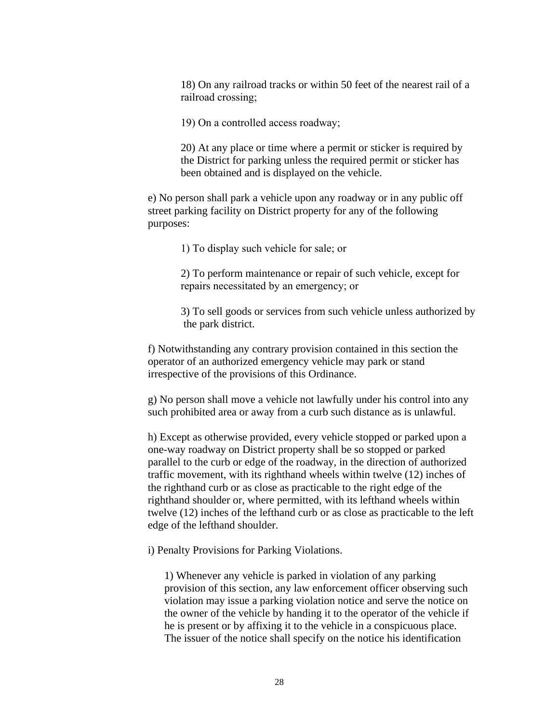18) On any railroad tracks or within 50 feet of the nearest rail of a railroad crossing;

19) On a controlled access roadway;

20) At any place or time where a permit or sticker is required by the District for parking unless the required permit or sticker has been obtained and is displayed on the vehicle.

e) No person shall park a vehicle upon any roadway or in any public off street parking facility on District property for any of the following purposes:

1) To display such vehicle for sale; or

2) To perform maintenance or repair of such vehicle, except for repairs necessitated by an emergency; or

3) To sell goods or services from such vehicle unless authorized by the park district.

f) Notwithstanding any contrary provision contained in this section the operator of an authorized emergency vehicle may park or stand irrespective of the provisions of this Ordinance.

g) No person shall move a vehicle not lawfully under his control into any such prohibited area or away from a curb such distance as is unlawful.

h) Except as otherwise provided, every vehicle stopped or parked upon a one-way roadway on District property shall be so stopped or parked parallel to the curb or edge of the roadway, in the direction of authorized traffic movement, with its righthand wheels within twelve (12) inches of the righthand curb or as close as practicable to the right edge of the righthand shoulder or, where permitted, with its lefthand wheels within twelve (12) inches of the lefthand curb or as close as practicable to the left edge of the lefthand shoulder.

i) Penalty Provisions for Parking Violations.

1) Whenever any vehicle is parked in violation of any parking provision of this section, any law enforcement officer observing such violation may issue a parking violation notice and serve the notice on the owner of the vehicle by handing it to the operator of the vehicle if he is present or by affixing it to the vehicle in a conspicuous place. The issuer of the notice shall specify on the notice his identification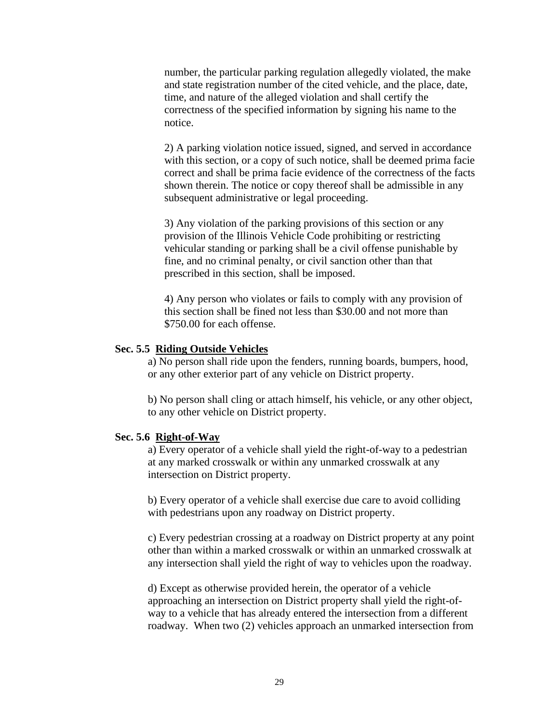number, the particular parking regulation allegedly violated, the make and state registration number of the cited vehicle, and the place, date, time, and nature of the alleged violation and shall certify the correctness of the specified information by signing his name to the notice.

2) A parking violation notice issued, signed, and served in accordance with this section, or a copy of such notice, shall be deemed prima facie correct and shall be prima facie evidence of the correctness of the facts shown therein. The notice or copy thereof shall be admissible in any subsequent administrative or legal proceeding.

3) Any violation of the parking provisions of this section or any provision of the Illinois Vehicle Code prohibiting or restricting vehicular standing or parking shall be a civil offense punishable by fine, and no criminal penalty, or civil sanction other than that prescribed in this section, shall be imposed.

<span id="page-28-0"></span>4) Any person who violates or fails to comply with any provision of this section shall be fined not less than \$30.00 and not more than \$750.00 for each offense.

#### **Sec. 5.5 Riding Outside Vehicles**

a) No person shall ride upon the fenders, running boards, bumpers, hood, or any other exterior part of any vehicle on District property.

b) No person shall cling or attach himself, his vehicle, or any other object, to any other vehicle on District property.

## **Sec. 5.6 Right-of-Way**

<span id="page-28-1"></span>a) Every operator of a vehicle shall yield the right-of-way to a pedestrian at any marked crosswalk or within any unmarked crosswalk at any intersection on District property.

b) Every operator of a vehicle shall exercise due care to avoid colliding with pedestrians upon any roadway on District property.

c) Every pedestrian crossing at a roadway on District property at any point other than within a marked crosswalk or within an unmarked crosswalk at any intersection shall yield the right of way to vehicles upon the roadway.

d) Except as otherwise provided herein, the operator of a vehicle approaching an intersection on District property shall yield the right-ofway to a vehicle that has already entered the intersection from a different roadway. When two (2) vehicles approach an unmarked intersection from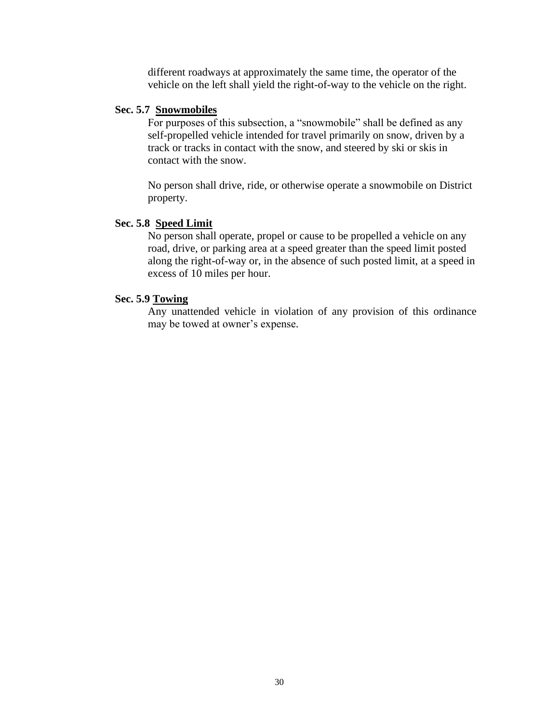different roadways at approximately the same time, the operator of the vehicle on the left shall yield the right-of-way to the vehicle on the right.

# **Sec. 5.7 Snowmobiles**

<span id="page-29-0"></span>For purposes of this subsection, a "snowmobile" shall be defined as any self-propelled vehicle intended for travel primarily on snow, driven by a track or tracks in contact with the snow, and steered by ski or skis in contact with the snow.

No person shall drive, ride, or otherwise operate a snowmobile on District property.

## **Sec. 5.8 Speed Limit**

<span id="page-29-1"></span>No person shall operate, propel or cause to be propelled a vehicle on any road, drive, or parking area at a speed greater than the speed limit posted along the right-of-way or, in the absence of such posted limit, at a speed in excess of 10 miles per hour.

# **Sec. 5.9 Towing**

<span id="page-29-2"></span>Any unattended vehicle in violation of any provision of this ordinance may be towed at owner's expense.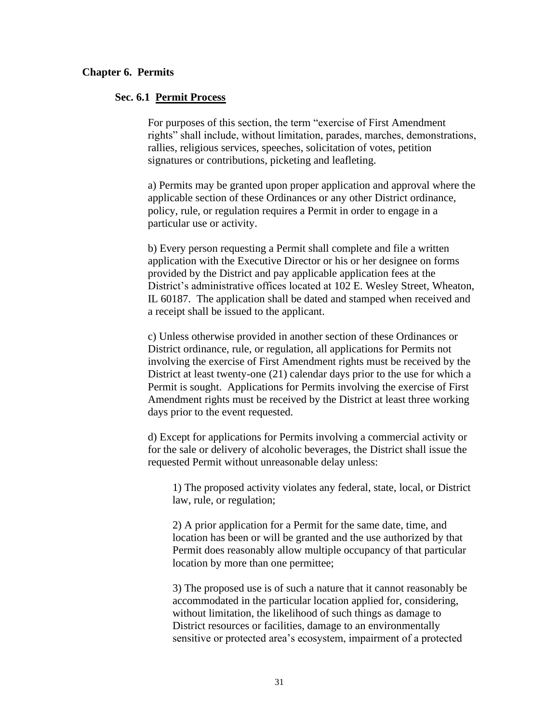## **Chapter 6. Permits**

## **Sec. 6.1 Permit Process**

<span id="page-30-1"></span><span id="page-30-0"></span>For purposes of this section, the term "exercise of First Amendment rights" shall include, without limitation, parades, marches, demonstrations, rallies, religious services, speeches, solicitation of votes, petition signatures or contributions, picketing and leafleting.

a) Permits may be granted upon proper application and approval where the applicable section of these Ordinances or any other District ordinance, policy, rule, or regulation requires a Permit in order to engage in a particular use or activity.

b) Every person requesting a Permit shall complete and file a written application with the Executive Director or his or her designee on forms provided by the District and pay applicable application fees at the District's administrative offices located at 102 E. Wesley Street, Wheaton, IL 60187. The application shall be dated and stamped when received and a receipt shall be issued to the applicant.

c) Unless otherwise provided in another section of these Ordinances or District ordinance, rule, or regulation, all applications for Permits not involving the exercise of First Amendment rights must be received by the District at least twenty-one (21) calendar days prior to the use for which a Permit is sought. Applications for Permits involving the exercise of First Amendment rights must be received by the District at least three working days prior to the event requested.

d) Except for applications for Permits involving a commercial activity or for the sale or delivery of alcoholic beverages, the District shall issue the requested Permit without unreasonable delay unless:

1) The proposed activity violates any federal, state, local, or District law, rule, or regulation;

2) A prior application for a Permit for the same date, time, and location has been or will be granted and the use authorized by that Permit does reasonably allow multiple occupancy of that particular location by more than one permittee;

3) The proposed use is of such a nature that it cannot reasonably be accommodated in the particular location applied for, considering, without limitation, the likelihood of such things as damage to District resources or facilities, damage to an environmentally sensitive or protected area's ecosystem, impairment of a protected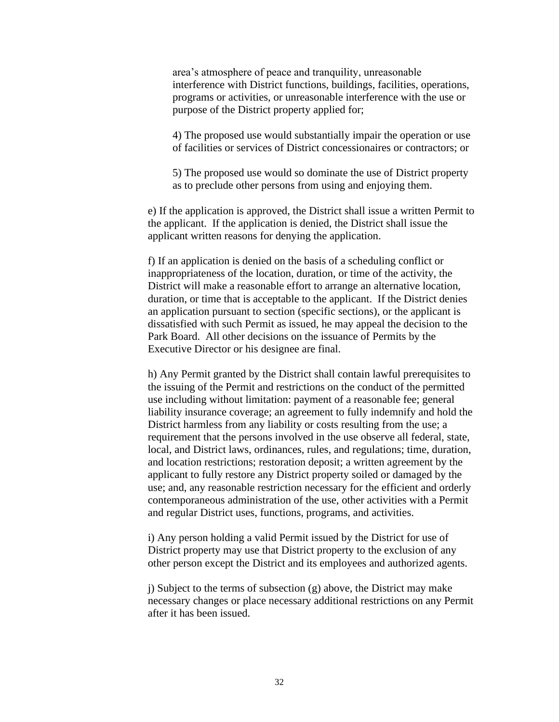area's atmosphere of peace and tranquility, unreasonable interference with District functions, buildings, facilities, operations, programs or activities, or unreasonable interference with the use or purpose of the District property applied for;

4) The proposed use would substantially impair the operation or use of facilities or services of District concessionaires or contractors; or

5) The proposed use would so dominate the use of District property as to preclude other persons from using and enjoying them.

e) If the application is approved, the District shall issue a written Permit to the applicant. If the application is denied, the District shall issue the applicant written reasons for denying the application.

f) If an application is denied on the basis of a scheduling conflict or inappropriateness of the location, duration, or time of the activity, the District will make a reasonable effort to arrange an alternative location, duration, or time that is acceptable to the applicant. If the District denies an application pursuant to section (specific sections), or the applicant is dissatisfied with such Permit as issued, he may appeal the decision to the Park Board. All other decisions on the issuance of Permits by the Executive Director or his designee are final.

h) Any Permit granted by the District shall contain lawful prerequisites to the issuing of the Permit and restrictions on the conduct of the permitted use including without limitation: payment of a reasonable fee; general liability insurance coverage; an agreement to fully indemnify and hold the District harmless from any liability or costs resulting from the use; a requirement that the persons involved in the use observe all federal, state, local, and District laws, ordinances, rules, and regulations; time, duration, and location restrictions; restoration deposit; a written agreement by the applicant to fully restore any District property soiled or damaged by the use; and, any reasonable restriction necessary for the efficient and orderly contemporaneous administration of the use, other activities with a Permit and regular District uses, functions, programs, and activities.

i) Any person holding a valid Permit issued by the District for use of District property may use that District property to the exclusion of any other person except the District and its employees and authorized agents.

j) Subject to the terms of subsection  $(g)$  above, the District may make necessary changes or place necessary additional restrictions on any Permit after it has been issued.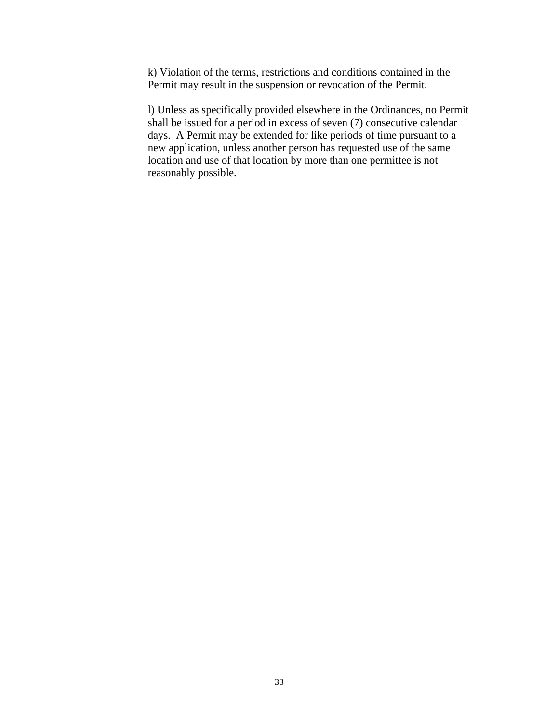k) Violation of the terms, restrictions and conditions contained in the Permit may result in the suspension or revocation of the Permit.

l) Unless as specifically provided elsewhere in the Ordinances, no Permit shall be issued for a period in excess of seven (7) consecutive calendar days. A Permit may be extended for like periods of time pursuant to a new application, unless another person has requested use of the same location and use of that location by more than one permittee is not reasonably possible.